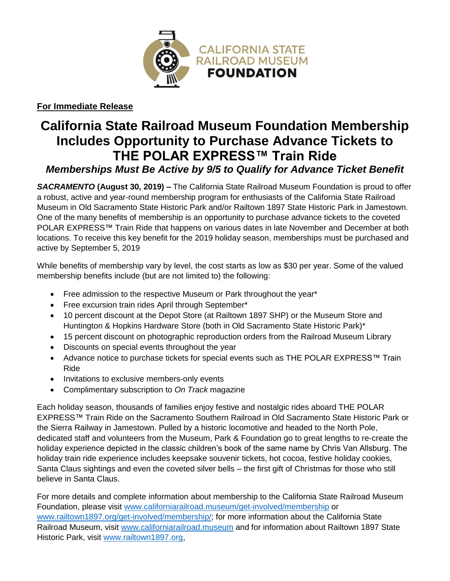

**For Immediate Release**

## **California State Railroad Museum Foundation Membership Includes Opportunity to Purchase Advance Tickets to THE POLAR EXPRESS™ Train Ride** *Memberships Must Be Active by 9/5 to Qualify for Advance Ticket Benefit*

*SACRAMENTO* **(August 30, 2019)** *–* The California State Railroad Museum Foundation is proud to offer a robust, active and year-round membership program for enthusiasts of the California State Railroad Museum in Old Sacramento State Historic Park and/or Railtown 1897 State Historic Park in Jamestown. One of the many benefits of membership is an opportunity to purchase advance tickets to the coveted POLAR EXPRESS™ Train Ride that happens on various dates in late November and December at both locations. To receive this key benefit for the 2019 holiday season, memberships must be purchased and active by September 5, 2019

While benefits of membership vary by level, the cost starts as low as \$30 per year. Some of the valued membership benefits include (but are not limited to) the following:

- Free admission to the respective Museum or Park throughout the year\*
- Free excursion train rides April through September\*
- 10 percent discount at the Depot Store (at Railtown 1897 SHP) or the Museum Store and Huntington & Hopkins Hardware Store (both in Old Sacramento State Historic Park)\*
- 15 percent discount on photographic reproduction orders from the Railroad Museum Library
- Discounts on special events throughout the year
- Advance notice to purchase tickets for special events such as THE POLAR EXPRESS™ Train Ride
- Invitations to exclusive members-only events
- Complimentary subscription to *On Track* magazine

Each holiday season, thousands of families enjoy festive and nostalgic rides aboard THE POLAR EXPRESS™ Train Ride on the Sacramento Southern Railroad in Old Sacramento State Historic Park or the Sierra Railway in Jamestown. Pulled by a historic locomotive and headed to the North Pole, dedicated staff and volunteers from the Museum, Park & Foundation go to great lengths to re-create the holiday experience depicted in the classic children's book of the same name by Chris Van Allsburg. The holiday train ride experience includes keepsake souvenir tickets, hot cocoa, festive holiday cookies, Santa Claus sightings and even the coveted silver bells – the first gift of Christmas for those who still believe in Santa Claus.

For more details and complete information about membership to the California State Railroad Museum Foundation, please visit [www.californiarailroad.museum/get-involved/membership](http://www.californiarailroad.museum/get-involved/membership) or [www.railtown1897.org/get-involved/membership/;](http://www.railtown1897.org/get-involved/membership/) for more information about the California State Railroad Museum, visit [www.californiarailroad.museum](http://www.californiarailroad.museum/) and for information about Railtown 1897 State Historic Park, visit [www.railtown1897.org,](http://www.railtown1897.org/)